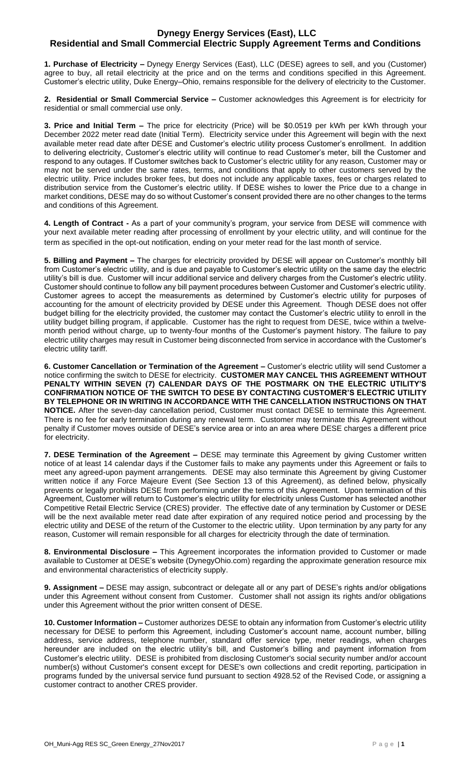## **Dynegy Energy Services (East), LLC Residential and Small Commercial Electric Supply Agreement Terms and Conditions**

**1. Purchase of Electricity –** Dynegy Energy Services (East), LLC (DESE) agrees to sell, and you (Customer) agree to buy, all retail electricity at the price and on the terms and conditions specified in this Agreement. Customer's electric utility, Duke Energy–Ohio, remains responsible for the delivery of electricity to the Customer.

**2. Residential or Small Commercial Service –** Customer acknowledges this Agreement is for electricity for residential or small commercial use only.

**3. Price and Initial Term –** The price for electricity (Price) will be \$0.0519 per kWh per kWh through your December 2022 meter read date (Initial Term). Electricity service under this Agreement will begin with the next available meter read date after DESE and Customer's electric utility process Customer's enrollment. In addition to delivering electricity, Customer's electric utility will continue to read Customer's meter, bill the Customer and respond to any outages. If Customer switches back to Customer's electric utility for any reason, Customer may or may not be served under the same rates, terms, and conditions that apply to other customers served by the electric utility. Price includes broker fees, but does not include any applicable taxes, fees or charges related to distribution service from the Customer's electric utility. If DESE wishes to lower the Price due to a change in market conditions, DESE may do so without Customer's consent provided there are no other changes to the terms and conditions of this Agreement.

**4. Length of Contract -** As a part of your community's program, your service from DESE will commence with your next available meter reading after processing of enrollment by your electric utility, and will continue for the term as specified in the opt-out notification, ending on your meter read for the last month of service.

**5. Billing and Payment –** The charges for electricity provided by DESE will appear on Customer's monthly bill from Customer's electric utility, and is due and payable to Customer's electric utility on the same day the electric utility's bill is due. Customer will incur additional service and delivery charges from the Customer's electric utility. Customer should continue to follow any bill payment procedures between Customer and Customer's electric utility. Customer agrees to accept the measurements as determined by Customer's electric utility for purposes of accounting for the amount of electricity provided by DESE under this Agreement. Though DESE does not offer budget billing for the electricity provided, the customer may contact the Customer's electric utility to enroll in the utility budget billing program, if applicable. Customer has the right to request from DESE, twice within a twelvemonth period without charge, up to twenty-four months of the Customer's payment history. The failure to pay electric utility charges may result in Customer being disconnected from service in accordance with the Customer's electric utility tariff.

**6. Customer Cancellation or Termination of the Agreement –** Customer's electric utility will send Customer a notice confirming the switch to DESE for electricity. **CUSTOMER MAY CANCEL THIS AGREEMENT WITHOUT PENALTY WITHIN SEVEN (7) CALENDAR DAYS OF THE POSTMARK ON THE ELECTRIC UTILITY'S CONFIRMATION NOTICE OF THE SWITCH TO DESE BY CONTACTING CUSTOMER'S ELECTRIC UTILITY BY TELEPHONE OR IN WRITING IN ACCORDANCE WITH THE CANCELLATION INSTRUCTIONS ON THAT NOTICE.** After the seven-day cancellation period, Customer must contact DESE to terminate this Agreement. There is no fee for early termination during any renewal term. Customer may terminate this Agreement without penalty if Customer moves outside of DESE's service area or into an area where DESE charges a different price for electricity.

**7. DESE Termination of the Agreement –** DESE may terminate this Agreement by giving Customer written notice of at least 14 calendar days if the Customer fails to make any payments under this Agreement or fails to meet any agreed-upon payment arrangements. DESE may also terminate this Agreement by giving Customer written notice if any Force Majeure Event (See Section 13 of this Agreement), as defined below, physically prevents or legally prohibits DESE from performing under the terms of this Agreement. Upon termination of this Agreement, Customer will return to Customer's electric utility for electricity unless Customer has selected another Competitive Retail Electric Service (CRES) provider. The effective date of any termination by Customer or DESE will be the next available meter read date after expiration of any required notice period and processing by the electric utility and DESE of the return of the Customer to the electric utility. Upon termination by any party for any reason, Customer will remain responsible for all charges for electricity through the date of termination.

**8. Environmental Disclosure –** This Agreement incorporates the information provided to Customer or made available to Customer at DESE's website (DynegyOhio.com) regarding the approximate generation resource mix and environmental characteristics of electricity supply.

**9. Assignment –** DESE may assign, subcontract or delegate all or any part of DESE's rights and/or obligations under this Agreement without consent from Customer. Customer shall not assign its rights and/or obligations under this Agreement without the prior written consent of DESE.

**10. Customer Information –** Customer authorizes DESE to obtain any information from Customer's electric utility necessary for DESE to perform this Agreement, including Customer's account name, account number, billing address, service address, telephone number, standard offer service type, meter readings, when charges hereunder are included on the electric utility's bill, and Customer's billing and payment information from Customer's electric utility. DESE is prohibited from disclosing Customer's social security number and/or account number(s) without Customer's consent except for DESE's own collections and credit reporting, participation in programs funded by the universal service fund pursuant to section 4928.52 of the Revised Code, or assigning a customer contract to another CRES provider.